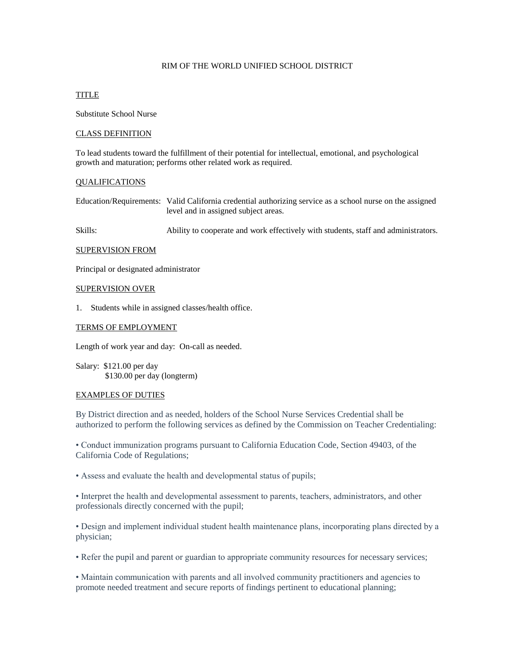# RIM OF THE WORLD UNIFIED SCHOOL DISTRICT

## TITLE

Substitute School Nurse

## CLASS DEFINITION

To lead students toward the fulfillment of their potential for intellectual, emotional, and psychological growth and maturation; performs other related work as required.

### QUALIFICATIONS

Education/Requirements: Valid California credential authorizing service as a school nurse on the assigned level and in assigned subject areas.

Skills: Ability to cooperate and work effectively with students, staff and administrators.

### SUPERVISION FROM

Principal or designated administrator

### SUPERVISION OVER

1. Students while in assigned classes/health office.

### TERMS OF EMPLOYMENT

Length of work year and day: On-call as needed.

Salary: \$121.00 per day \$130.00 per day (longterm)

#### EXAMPLES OF DUTIES

By District direction and as needed, holders of the School Nurse Services Credential shall be authorized to perform the following services as defined by the Commission on Teacher Credentialing:

• Conduct immunization programs pursuant to California Education Code, Section 49403, of the California Code of Regulations;

• Assess and evaluate the health and developmental status of pupils;

• Interpret the health and developmental assessment to parents, teachers, administrators, and other professionals directly concerned with the pupil;

• Design and implement individual student health maintenance plans, incorporating plans directed by a physician;

• Refer the pupil and parent or guardian to appropriate community resources for necessary services;

• Maintain communication with parents and all involved community practitioners and agencies to promote needed treatment and secure reports of findings pertinent to educational planning;